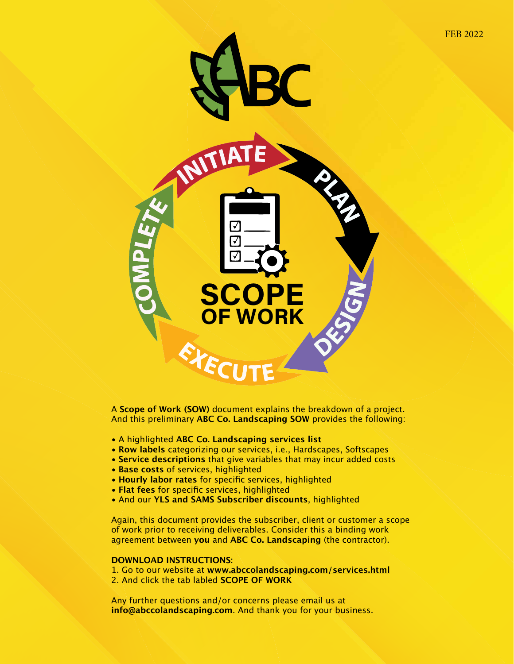

A **Scope of Work (SOW)** document explains the breakdown of a project. And this preliminary **ABC Co. Landscaping SOW** provides the following:

- A highlighted **ABC Co. Landscaping services list**
- **Row labels** categorizing our services, i.e., Hardscapes, Softscapes
- **Service descriptions** that give variables that may incur added costs
- **Base costs** of services, highlighted
- **Hourly labor rates** for specific services, highlighted
- **Flat fees** for specific services, highlighted
- And our **YLS and SAMS Subscriber discounts**, highlighted

Again, this document provides the subscriber, client or customer a scope of work prior to receiving deliverables. Consider this a binding work agreement between **you** and **ABC Co. Landscaping** (the contractor).

## **DOWNLOAD INSTRUCTIONS:**

1. Go to our website at **www.abccolandscaping.com/services.html** 2. And click the tab labled **SCOPE OF WORK**

Any further questions and/or concerns please email us at **info@abccolandscaping.com**. And thank you for your business.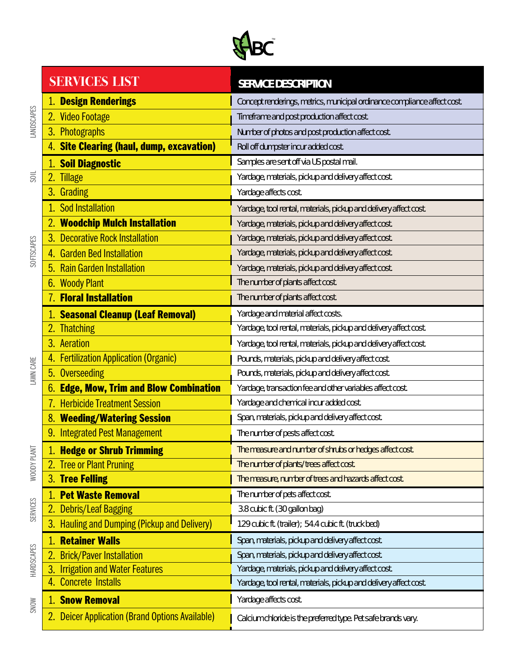

|                   |    | <b>SERVICES LIST</b>                                | <b>SERVICE DESCRIPTION</b>                                               |  |  |  |
|-------------------|----|-----------------------------------------------------|--------------------------------------------------------------------------|--|--|--|
| LANDSCAPES        |    | <b>Design Renderings</b>                            | Concept renderings, metrics, municipal ordinance compliance affect cost. |  |  |  |
|                   | 2. | <b>Video Footage</b>                                | Timeframe and post production affect cost.                               |  |  |  |
|                   |    | 3. Photographs                                      | Number of photos and post production affect cost.                        |  |  |  |
|                   |    | <b>Site Clearing (haul, dump, excavation)</b>       | Roll off dumpster incur added cost.                                      |  |  |  |
|                   |    | <b>Soil Diagnostic</b>                              | Samples are sent off via US postal mail.                                 |  |  |  |
|                   |    | <b>Tillage</b>                                      | Yardage, materials, pickup and delivery affect cost.                     |  |  |  |
|                   |    | 3. Grading                                          | Yardage affects cost.                                                    |  |  |  |
|                   |    | Sod Installation                                    | Yardage, tool rental, materials, pickup and delivery affect cost.        |  |  |  |
|                   |    | <b>Woodchip Mulch Installation</b>                  | Yardage, materials, pickup and delivery affect cost.                     |  |  |  |
|                   | 3. | <b>Decorative Rock Installation</b>                 | Yardage, materials, pickup and delivery affect cost.                     |  |  |  |
| <b>SOFTSCAPES</b> | 4. | <b>Garden Bed Installation</b>                      | Yardage, materials, pickup and delivery affect cost.                     |  |  |  |
|                   | 5. | <b>Rain Garden Installation</b>                     | Yardage, materials, pickup and delivery affect cost.                     |  |  |  |
|                   | 6. | <b>Woody Plant</b>                                  | The number of plants affect cost.                                        |  |  |  |
|                   |    | <b>Floral Installation</b>                          | The number of plants affect cost.                                        |  |  |  |
|                   |    | 1. Seasonal Cleanup (Leaf Removal)                  | Yardage and material affect costs.                                       |  |  |  |
|                   |    | <b>Thatching</b>                                    | Yardage, tool rental, materials, pickup and delivery affect cost.        |  |  |  |
|                   | 3. | Aeration                                            | Yardage, tool rental, materials, pickup and delivery affect cost.        |  |  |  |
|                   | 4. | <b>Fertilization Application (Organic)</b>          | Pounds, materials, pickup and delivery affect cost.                      |  |  |  |
| LAWN CARE         | 5. | Overseeding                                         | Pounds, materials, pickup and delivery affect cost.                      |  |  |  |
|                   |    | <b>Edge, Mow, Trim and Blow Combination</b>         | Yardage, transaction fee and other variables affect cost.                |  |  |  |
|                   | 7. | <b>Herbicide Treatment Session</b>                  | Yardage and chemical incur added cost.                                   |  |  |  |
|                   | 8. | <b>Weeding/Watering Session</b>                     | Span, materials, pickup and delivery affect cost.                        |  |  |  |
|                   |    | 9. Integrated Pest Management                       | The number of pests affect cost.                                         |  |  |  |
|                   |    | 1. Hedge or Shrub Trimming                          | The measure and number of shrubs or hedges affect cost.                  |  |  |  |
| WOODY PLANT       | 2. | <b>Tree or Plant Pruning</b>                        | The number of plants/trees affect cost.                                  |  |  |  |
|                   |    | 3. Tree Felling                                     | The measure, number of trees and hazards affect cost.                    |  |  |  |
|                   |    | <b>Pet Waste Removal</b>                            | The number of pets affect cost.                                          |  |  |  |
| <b>SERVICES</b>   | 2. | <b>Debris/Leaf Bagging</b>                          | 3.8 cubic ft. (30 gallon bag)                                            |  |  |  |
|                   | 3. | <b>Hauling and Dumping (Pickup and Delivery)</b>    | 129 cubic ft. (trailer); 54.4 cubic ft. (truck bed)                      |  |  |  |
|                   |    | <b>Retainer Walls</b>                               | Span, materials, pickup and delivery affect cost.                        |  |  |  |
| HARDSCAPES        | 2. | <b>Brick/Paver Installation</b>                     | Span, materials, pickup and delivery affect cost.                        |  |  |  |
| <b>SNOW</b>       | 3. | <b>Irrigation and Water Features</b>                | Yardage, materials, pickup and delivery affect cost.                     |  |  |  |
|                   | 4. | <b>Concrete Installs</b>                            | Yardage, tool rental, materials, pickup and delivery affect cost.        |  |  |  |
|                   | 1. | <b>Snow Removal</b>                                 | Yardage affects cost.                                                    |  |  |  |
|                   |    | <b>Deicer Application (Brand Options Available)</b> | Calcium chloride is the preferred type. Pet safe brands vary.            |  |  |  |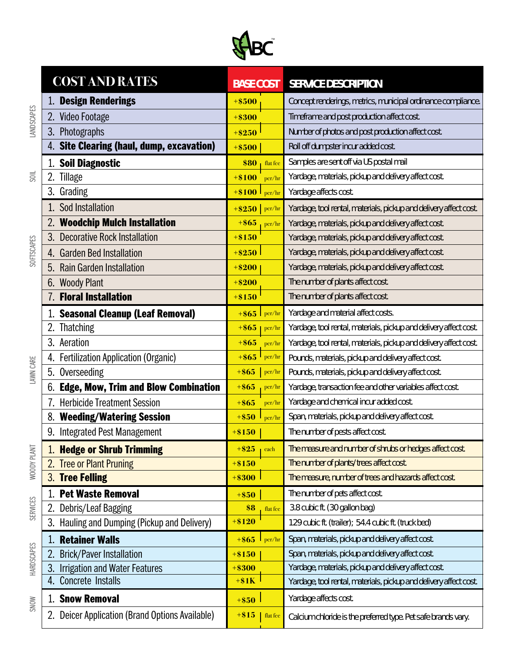

|                       | <b>COST AND RATES</b>                               | <b>BASE COST</b>    | <b>SERVICE DESCRIPTION</b>                                        |  |
|-----------------------|-----------------------------------------------------|---------------------|-------------------------------------------------------------------|--|
|                       | <b>Design Renderings</b>                            | $+ $500$            | Concept renderings, metrics, municipal ordinance compliance.      |  |
| <b>LANDSCAPES</b>     | Video Footage<br>2.                                 | $+ $300$            | Timeframe and post production affect cost.                        |  |
|                       | Photographs<br>3.                                   | $+ $250$            | Number of photos and post production affect cost.                 |  |
|                       | 4. Site Clearing (haul, dump, excavation)           | $+ $500$            | Roll off dumpster incur added cost.                               |  |
|                       | <b>Soil Diagnostic</b>                              | \$80<br>flat fee    | Samples are sent off via US postal mail                           |  |
| $\overline{\text{S}}$ | 2.<br>Tillage                                       | $+ $100$<br>per/hr  | Yardage, materials, pickup and delivery affect cost.              |  |
|                       | 3. Grading                                          | $+ $100$<br>per/hr  | Yardage affects cost.                                             |  |
|                       | Sod Installation                                    | $+$ \$250   per/hr  | Yardage, tool rental, materials, pickup and delivery affect cost. |  |
|                       | <b>Woodchip Mulch Installation</b>                  | $+ $65$<br>per/hr   | Yardage, materials, pickup and delivery affect cost.              |  |
|                       | 3.<br><b>Decorative Rock Installation</b>           | $+ $150$            | Yardage, materials, pickup and delivery affect cost.              |  |
| <b>SOFTSCAPES</b>     | <b>Garden Bed Installation</b>                      | $+ $250$            | Yardage, materials, pickup and delivery affect cost.              |  |
|                       | <b>Rain Garden Installation</b>                     | $+ $200$            | Yardage, materials, pickup and delivery affect cost.              |  |
|                       | <b>Woody Plant</b><br>6.                            | $+ $200$            | The number of plants affect cost.                                 |  |
|                       | <b>Floral Installation</b>                          | $+ $150$            | The number of plants affect cost.                                 |  |
|                       | <b>Seasonal Cleanup (Leaf Removal)</b>              | $+ $65$<br>per/hr   | Yardage and material affect costs.                                |  |
|                       | <b>Thatching</b>                                    | $+ $65$<br>per/hr   | Yardage, tool rental, materials, pickup and delivery affect cost. |  |
|                       | 3.<br>Aeration                                      | $+ $65$<br>per/hr   | Yardage, tool rental, materials, pickup and delivery affect cost. |  |
|                       | <b>Fertilization Application (Organic)</b><br>4.    | $+ $65$<br>per/hr   | Pounds, materials, pickup and delivery affect cost.               |  |
| LAWN CARE             | Overseeding<br>5.                                   | $+ $65$<br>per/hr   | Pounds, materials, pickup and delivery affect cost.               |  |
|                       | <b>Edge, Mow, Trim and Blow Combination</b>         | $+ $65$<br>per/hr   | Yardage, transaction fee and other variables affect cost.         |  |
|                       | <b>Herbicide Treatment Session</b>                  | $+ $65$<br>per/hr   | Yardage and chemical incur added cost.                            |  |
|                       | <b>Weeding/Watering Session</b>                     | $+ $50$<br>per/hr   | Span, materials, pickup and delivery affect cost.                 |  |
|                       | 9. Integrated Pest Management                       | $+ $150$            | The number of pests affect cost.                                  |  |
| WOODY PLANT           | 1. Hedge or Shrub Trimming                          | $+$ \$25<br>each    | The measure and number of shrubs or hedges affect cost.           |  |
|                       | <b>Tree or Plant Pruning</b>                        | $+ $150$            | The number of plants/trees affect cost.                           |  |
|                       | 3. Tree Felling                                     | $+ $300$            | The measure, number of trees and hazards affect cost.             |  |
|                       | <b>Pet Waste Removal</b>                            | $+ $50$             | The number of pets affect cost.                                   |  |
| <b>SERVICES</b>       | Debris/Leaf Bagging<br>2.                           | \$8<br>flat fee     | 3.8 cubic ft. (30 gallon bag)                                     |  |
|                       | Hauling and Dumping (Pickup and Delivery)<br>3.     | $+ $120$            | 129 cubic ft. (trailer); 54.4 cubic ft. (truck bed)               |  |
|                       | <b>Retainer Walls</b>                               | $+ $65$<br>per/hr   | Span, materials, pickup and delivery affect cost.                 |  |
| <b>HARDSCAPES</b>     | <b>Brick/Paver Installation</b><br>$\overline{2}$ . | $+ $150$            | Span, materials, pickup and delivery affect cost.                 |  |
|                       | <b>Irrigation and Water Features</b><br>3.          | $+ $300$            | Yardage, materials, pickup and delivery affect cost.              |  |
|                       | Concrete Installs                                   | $+ $1K$             | Yardage, tool rental, materials, pickup and delivery affect cost. |  |
| <b>SNOW</b>           | <b>Snow Removal</b>                                 | $+ $50$             | Yardage affects cost.                                             |  |
|                       | Deicer Application (Brand Options Available)<br>2.  | $+ $15$<br>flat fee | Calcium chloride is the preferred type. Pet safe brands vary.     |  |
|                       |                                                     |                     |                                                                   |  |